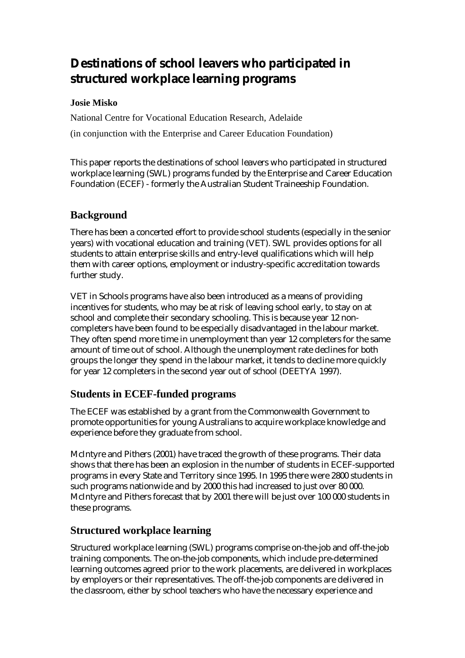# **Destinations of school leavers who participated in structured workplace learning programs**

# **Josie Misko**

National Centre for Vocational Education Research, Adelaide (in conjunction with the Enterprise and Career Education Foundation)

This paper reports the destinations of school leavers who participated in structured workplace learning (SWL) programs funded by the Enterprise and Career Education Foundation (ECEF) - formerly the Australian Student Traineeship Foundation.

# **Background**

There has been a concerted effort to provide school students (especially in the senior years) with vocational education and training (VET). SWL provides options for all students to attain enterprise skills and entry-level qualifications which will help them with career options, employment or industry-specific accreditation towards further study.

VET in Schools programs have also been introduced as a means of providing incentives for students, who may be at risk of leaving school early, to stay on at school and complete their secondary schooling. This is because year 12 noncompleters have been found to be especially disadvantaged in the labour market. They often spend more time in unemployment than year 12 completers for the same amount of time out of school. Although the unemployment rate declines for both groups the longer they spend in the labour market, it tends to decline more quickly for year 12 completers in the second year out of school (DEETYA 1997).

# **Students in ECEF-funded programs**

The ECEF was established by a grant from the Commonwealth Government to promote opportunities for young Australians to acquire workplace knowledge and experience before they graduate from school.

McIntyre and Pithers (2001) have traced the growth of these programs. Their data shows that there has been an explosion in the number of students in ECEF-supported programs in every State and Territory since 1995. In 1995 there were 2800 students in such programs nationwide and by 2000 this had increased to just over 80 000. McIntyre and Pithers forecast that by 2001 there will be just over 100 000 students in these programs.

# **Structured workplace learning**

Structured workplace learning (SWL) programs comprise on-the-job and off-the-job training components. The on-the-job components, which include pre-determined learning outcomes agreed prior to the work placements, are delivered in workplaces by employers or their representatives. The off-the-job components are delivered in the classroom, either by school teachers who have the necessary experience and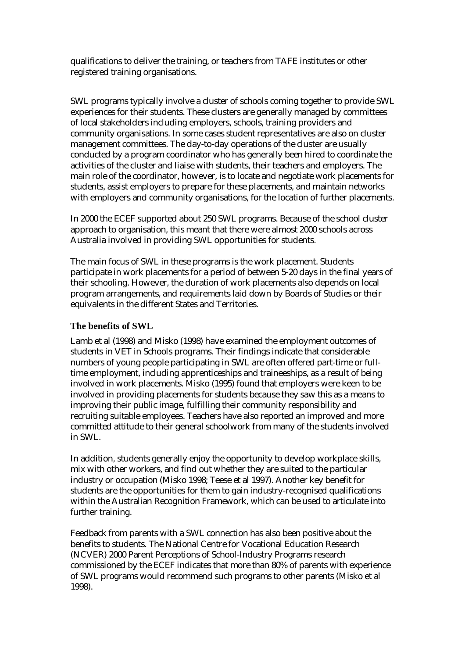qualifications to deliver the training, or teachers from TAFE institutes or other registered training organisations.

SWL programs typically involve a cluster of schools coming together to provide SWL experiences for their students. These clusters are generally managed by committees of local stakeholders including employers, schools, training providers and community organisations. In some cases student representatives are also on cluster management committees. The day-to-day operations of the cluster are usually conducted by a program coordinator who has generally been hired to coordinate the activities of the cluster and liaise with students, their teachers and employers. The main role of the coordinator, however, is to locate and negotiate work placements for students, assist employers to prepare for these placements, and maintain networks with employers and community organisations, for the location of further placements.

In 2000 the ECEF supported about 250 SWL programs. Because of the school cluster approach to organisation, this meant that there were almost 2000 schools across Australia involved in providing SWL opportunities for students.

The main focus of SWL in these programs is the work placement. Students participate in work placements for a period of between 5-20 days in the final years of their schooling. However, the duration of work placements also depends on local program arrangements, and requirements laid down by Boards of Studies or their equivalents in the different States and Territories.

#### **The benefits of SWL**

Lamb et al (1998) and Misko (1998) have examined the employment outcomes of students in VET in Schools programs. Their findings indicate that considerable numbers of young people participating in SWL are often offered part-time or fulltime employment, including apprenticeships and traineeships, as a result of being involved in work placements. Misko (1995) found that employers were keen to be involved in providing placements for students because they saw this as a means to improving their public image, fulfilling their community responsibility and recruiting suitable employees. Teachers have also reported an improved and more committed attitude to their general schoolwork from many of the students involved in SWL.

In addition, students generally enjoy the opportunity to develop workplace skills, mix with other workers, and find out whether they are suited to the particular industry or occupation (Misko 1998; Teese et al 1997). Another key benefit for students are the opportunities for them to gain industry-recognised qualifications within the Australian Recognition Framework, which can be used to articulate into further training.

Feedback from parents with a SWL connection has also been positive about the benefits to students. The National Centre for Vocational Education Research (NCVER) 2000 Parent Perceptions of School-Industry Programs research commissioned by the ECEF indicates that more than 80% of parents with experience of SWL programs would recommend such programs to other parents (Misko et al 1998).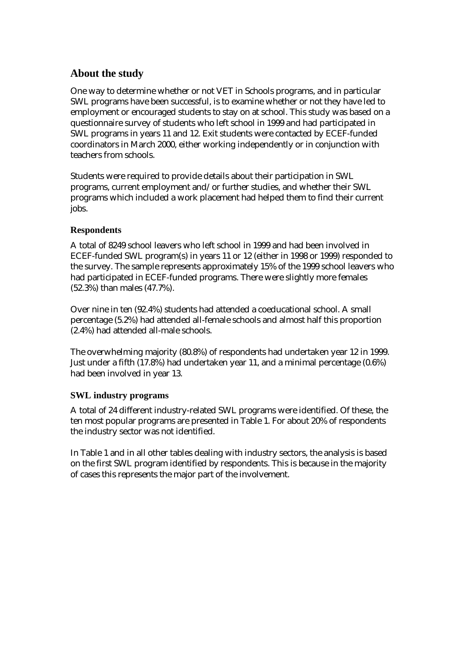# **About the study**

One way to determine whether or not VET in Schools programs, and in particular SWL programs have been successful, is to examine whether or not they have led to employment or encouraged students to stay on at school. This study was based on a questionnaire survey of students who left school in 1999 and had participated in SWL programs in years 11 and 12. Exit students were contacted by ECEF-funded coordinators in March 2000, either working independently or in conjunction with teachers from schools.

Students were required to provide details about their participation in SWL programs, current employment and/or further studies, and whether their SWL programs which included a work placement had helped them to find their current jobs.

### **Respondents**

A total of 8249 school leavers who left school in 1999 and had been involved in ECEF-funded SWL program(s) in years 11 or 12 (either in 1998 or 1999) responded to the survey. The sample represents approximately 15% of the 1999 school leavers who had participated in ECEF-funded programs. There were slightly more females (52.3%) than males (47.7%).

Over nine in ten (92.4%) students had attended a coeducational school. A small percentage (5.2%) had attended all-female schools and almost half this proportion (2.4%) had attended all-male schools.

The overwhelming majority (80.8%) of respondents had undertaken year 12 in 1999. Just under a fifth (17.8%) had undertaken year 11, and a minimal percentage (0.6%) had been involved in year 13.

# **SWL industry programs**

A total of 24 different industry-related SWL programs were identified. Of these, the ten most popular programs are presented in Table 1. For about 20% of respondents the industry sector was not identified.

In Table 1 and in all other tables dealing with industry sectors, the analysis is based on the first SWL program identified by respondents. This is because in the majority of cases this represents the major part of the involvement.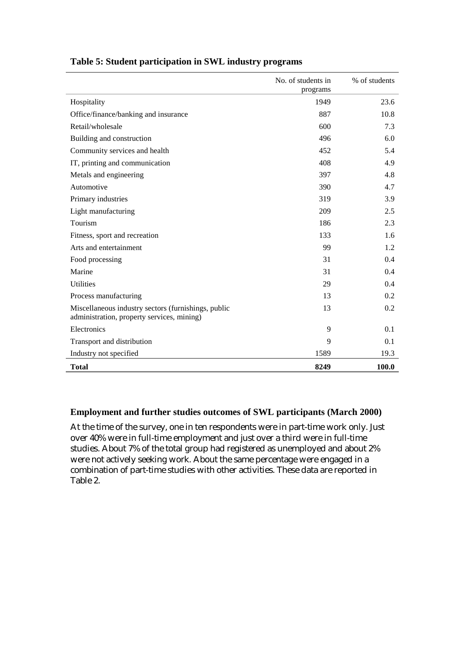|                                                                                                   | No. of students in<br>programs | % of students |
|---------------------------------------------------------------------------------------------------|--------------------------------|---------------|
| Hospitality                                                                                       | 1949                           | 23.6          |
| Office/finance/banking and insurance                                                              | 887                            | 10.8          |
| Retail/wholesale                                                                                  | 600                            | 7.3           |
| Building and construction                                                                         | 496                            | 6.0           |
| Community services and health                                                                     | 452                            | 5.4           |
| IT, printing and communication                                                                    | 408                            | 4.9           |
| Metals and engineering                                                                            | 397                            | 4.8           |
| Automotive                                                                                        | 390                            | 4.7           |
| Primary industries                                                                                | 319                            | 3.9           |
| Light manufacturing                                                                               | 209                            | 2.5           |
| Tourism                                                                                           | 186                            | 2.3           |
| Fitness, sport and recreation                                                                     | 133                            | 1.6           |
| Arts and entertainment                                                                            | 99                             | 1.2           |
| Food processing                                                                                   | 31                             | 0.4           |
| Marine                                                                                            | 31                             | 0.4           |
| <b>Utilities</b>                                                                                  | 29                             | 0.4           |
| Process manufacturing                                                                             | 13                             | 0.2           |
| Miscellaneous industry sectors (furnishings, public<br>administration, property services, mining) | 13                             | 0.2           |
| Electronics                                                                                       | 9                              | 0.1           |
| Transport and distribution                                                                        | 9                              | 0.1           |
| Industry not specified                                                                            | 1589                           | 19.3          |
| <b>Total</b>                                                                                      | 8249                           | 100.0         |

#### **Table 5: Student participation in SWL industry programs**

#### **Employment and further studies outcomes of SWL participants (March 2000)**

At the time of the survey, one in ten respondents were in part-time work only. Just over 40% were in full-time employment and just over a third were in full-time studies. About 7% of the total group had registered as unemployed and about 2% were not actively seeking work. About the same percentage were engaged in a combination of part-time studies with other activities. These data are reported in Table 2.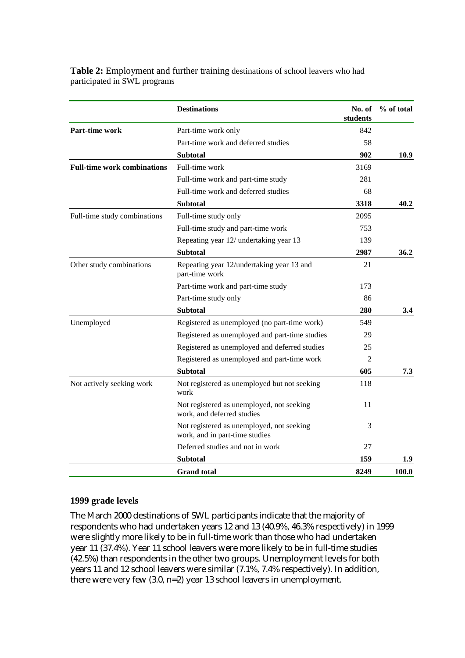| <b>Table 2:</b> Employment and further training destinations of school leavers who had |  |
|----------------------------------------------------------------------------------------|--|
| participated in SWL programs                                                           |  |

|                                    | <b>Destinations</b>                                                         | No. of<br>students | % of total |
|------------------------------------|-----------------------------------------------------------------------------|--------------------|------------|
| <b>Part-time work</b>              | Part-time work only                                                         | 842                |            |
|                                    | Part-time work and deferred studies                                         | 58                 |            |
|                                    | <b>Subtotal</b>                                                             | 902                | 10.9       |
| <b>Full-time work combinations</b> | Full-time work                                                              | 3169               |            |
|                                    | Full-time work and part-time study                                          | 281                |            |
|                                    | Full-time work and deferred studies                                         | 68                 |            |
|                                    | <b>Subtotal</b>                                                             | 3318               | 40.2       |
| Full-time study combinations       | Full-time study only                                                        | 2095               |            |
|                                    | Full-time study and part-time work                                          | 753                |            |
|                                    | Repeating year 12/ undertaking year 13                                      | 139                |            |
|                                    | <b>Subtotal</b>                                                             | 2987               | 36.2       |
| Other study combinations           | Repeating year 12/undertaking year 13 and<br>part-time work                 | 21                 |            |
|                                    | Part-time work and part-time study                                          | 173                |            |
|                                    | Part-time study only                                                        | 86                 |            |
|                                    | <b>Subtotal</b>                                                             | 280                | 3.4        |
| Unemployed                         | Registered as unemployed (no part-time work)                                | 549                |            |
|                                    | Registered as unemployed and part-time studies                              | 29                 |            |
|                                    | Registered as unemployed and deferred studies                               | 25                 |            |
|                                    | Registered as unemployed and part-time work                                 | 2                  |            |
|                                    | <b>Subtotal</b>                                                             | 605                | 7.3        |
| Not actively seeking work          | Not registered as unemployed but not seeking<br>work                        | 118                |            |
|                                    | Not registered as unemployed, not seeking<br>work, and deferred studies     | 11                 |            |
|                                    | Not registered as unemployed, not seeking<br>work, and in part-time studies | 3                  |            |
|                                    | Deferred studies and not in work                                            | 27                 |            |
|                                    | <b>Subtotal</b>                                                             | 159                | 1.9        |
|                                    | <b>Grand</b> total                                                          | 8249               | 100.0      |

#### **1999 grade levels**

The March 2000 destinations of SWL participants indicate that the majority of respondents who had undertaken years 12 and 13 (40.9%, 46.3% respectively) in 1999 were slightly more likely to be in full-time work than those who had undertaken year 11 (37.4%). Year 11 school leavers were more likely to be in full-time studies (42.5%) than respondents in the other two groups. Unemployment levels for both years 11 and 12 school leavers were similar (7.1%, 7.4% respectively). In addition, there were very few (3.0, n=2) year 13 school leavers in unemployment.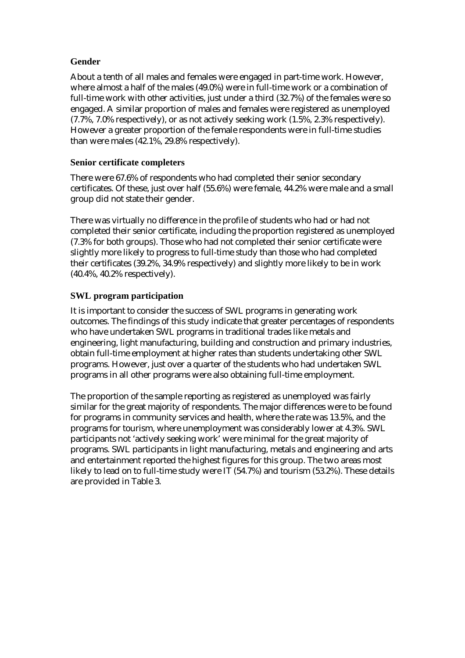#### **Gender**

About a tenth of all males and females were engaged in part-time work. However, where almost a half of the males (49.0%) were in full-time work or a combination of full-time work with other activities, just under a third (32.7%) of the females were so engaged. A similar proportion of males and females were registered as unemployed (7.7%, 7.0% respectively), or as not actively seeking work (1.5%, 2.3% respectively). However a greater proportion of the female respondents were in full-time studies than were males (42.1%, 29.8% respectively).

#### **Senior certificate completers**

There were 67.6% of respondents who had completed their senior secondary certificates. Of these, just over half (55.6%) were female, 44.2% were male and a small group did not state their gender.

There was virtually no difference in the profile of students who had or had not completed their senior certificate, including the proportion registered as unemployed (7.3% for both groups). Those who had not completed their senior certificate were slightly more likely to progress to full-time study than those who had completed their certificates (39.2%, 34.9% respectively) and slightly more likely to be in work (40.4%, 40.2% respectively).

#### **SWL program participation**

It is important to consider the success of SWL programs in generating work outcomes. The findings of this study indicate that greater percentages of respondents who have undertaken SWL programs in traditional trades like metals and engineering, light manufacturing, building and construction and primary industries, obtain full-time employment at higher rates than students undertaking other SWL programs. However, just over a quarter of the students who had undertaken SWL programs in all other programs were also obtaining full-time employment.

The proportion of the sample reporting as registered as unemployed was fairly similar for the great majority of respondents. The major differences were to be found for programs in community services and health, where the rate was 13.5%, and the programs for tourism, where unemployment was considerably lower at 4.3%. SWL participants not 'actively seeking work' were minimal for the great majority of programs. SWL participants in light manufacturing, metals and engineering and arts and entertainment reported the highest figures for this group. The two areas most likely to lead on to full-time study were IT (54.7%) and tourism (53.2%). These details are provided in Table 3.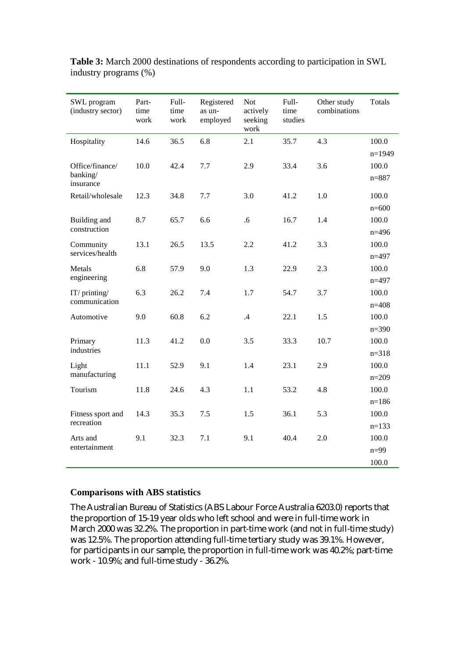| SWL program<br>(industry sector)         | Part-<br>time<br>work | Full-<br>time<br>work | Registered<br>as un-<br>employed | Not<br>actively<br>seeking<br>work | Full-<br>time<br>studies | Other study<br>combinations | <b>Totals</b>      |
|------------------------------------------|-----------------------|-----------------------|----------------------------------|------------------------------------|--------------------------|-----------------------------|--------------------|
| Hospitality                              | 14.6                  | 36.5                  | 6.8                              | 2.1                                | 35.7                     | 4.3                         | 100.0              |
|                                          |                       |                       |                                  |                                    |                          |                             | $n=1949$           |
| Office/finance/<br>banking/<br>insurance | 10.0                  | 42.4                  | 7.7                              | 2.9                                | 33.4                     | 3.6                         | 100.0<br>$n = 887$ |
| Retail/wholesale                         | 12.3                  | 34.8                  | 7.7                              | 3.0                                | 41.2                     | 1.0                         | 100.0              |
|                                          |                       |                       |                                  |                                    |                          |                             | $n=600$            |
| Building and                             | 8.7                   | 65.7                  | 6.6                              | .6                                 | 16.7                     | 1.4                         | 100.0              |
| construction                             |                       |                       |                                  |                                    |                          |                             | $n=496$            |
| Community                                | 13.1                  | 26.5                  | 13.5                             | 2.2                                | 41.2                     | 3.3                         | 100.0              |
| services/health                          |                       |                       |                                  |                                    |                          |                             | $n=497$            |
| Metals<br>engineering                    | 6.8                   | 57.9                  | 9.0                              | 1.3                                | 22.9                     | 2.3                         | 100.0<br>$n=497$   |
| IT/printing/                             | 6.3                   | 26.2                  | 7.4                              | 1.7                                | 54.7                     | 3.7                         | 100.0              |
| communication                            |                       |                       |                                  |                                    |                          |                             | $n=408$            |
| Automotive                               | 9.0                   | 60.8                  | 6.2                              | .4                                 | 22.1                     | 1.5                         | 100.0              |
|                                          |                       |                       |                                  |                                    |                          |                             | $n = 390$          |
| Primary                                  | 11.3                  | 41.2                  | 0.0                              | 3.5                                | 33.3                     | 10.7                        | 100.0              |
| industries                               |                       |                       |                                  |                                    |                          |                             | $n = 318$          |
| Light                                    | 11.1                  | 52.9                  | 9.1                              | 1.4                                | 23.1                     | 2.9                         | 100.0              |
| manufacturing                            |                       |                       |                                  |                                    |                          |                             | $n=209$            |
| Tourism                                  | 11.8                  | 24.6                  | 4.3                              | 1.1                                | 53.2                     | 4.8                         | 100.0              |
|                                          |                       |                       |                                  |                                    |                          |                             | $n=186$            |
| Fitness sport and                        | 14.3                  | 35.3                  | $7.5$                            | 1.5                                | 36.1                     | 5.3                         | 100.0              |
| recreation                               |                       |                       |                                  |                                    |                          |                             | $n=133$            |
| Arts and                                 | 9.1                   | 32.3                  | 7.1                              | 9.1                                | 40.4                     | 2.0                         | 100.0              |
| entertainment                            |                       |                       |                                  |                                    |                          |                             | $n=99$             |
|                                          |                       |                       |                                  |                                    |                          |                             | 100.0              |

**Table 3:** March 2000 destinations of respondents according to participation in SWL industry programs (%)

#### **Comparisons with ABS statistics**

The Australian Bureau of Statistics (ABS Labour Force Australia 6203.0) reports that the proportion of 15-19 year olds who left school and were in full-time work in March 2000 was 32.2%. The proportion in part-time work (and not in full-time study) was 12.5%. The proportion attending full-time tertiary study was 39.1%. However, for participants in our sample, the proportion in full-time work was 40.2%; part-time work - 10.9%; and full-time study - 36.2%.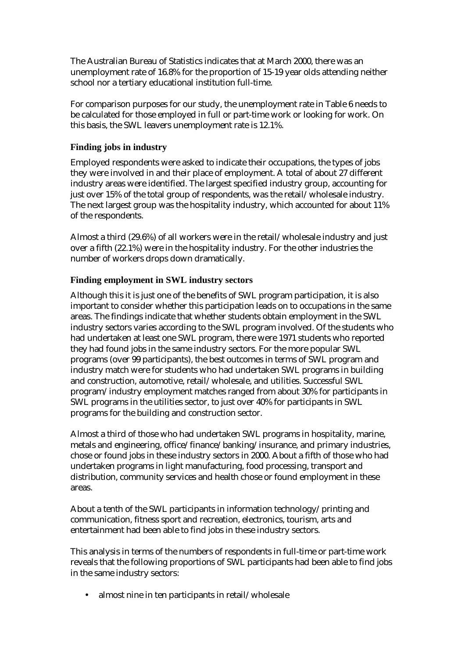The Australian Bureau of Statistics indicates that at March 2000, there was an unemployment rate of 16.8% for the proportion of 15-19 year olds attending neither school nor a tertiary educational institution full-time.

For comparison purposes for our study, the unemployment rate in Table 6 needs to be calculated for those employed in full or part-time work or looking for work. On this basis, the SWL leavers unemployment rate is 12.1%.

#### **Finding jobs in industry**

Employed respondents were asked to indicate their occupations, the types of jobs they were involved in and their place of employment. A total of about 27 different industry areas were identified. The largest specified industry group, accounting for just over 15% of the total group of respondents, was the retail/wholesale industry. The next largest group was the hospitality industry, which accounted for about 11% of the respondents.

Almost a third (29.6%) of all workers were in the retail/wholesale industry and just over a fifth (22.1%) were in the hospitality industry. For the other industries the number of workers drops down dramatically.

### **Finding employment in SWL industry sectors**

Although this it is just one of the benefits of SWL program participation, it is also important to consider whether this participation leads on to occupations in the same areas. The findings indicate that whether students obtain employment in the SWL industry sectors varies according to the SWL program involved. Of the students who had undertaken at least one SWL program, there were 1971 students who reported they had found jobs in the same industry sectors. For the more popular SWL programs (over 99 participants), the best outcomes in terms of SWL program and industry match were for students who had undertaken SWL programs in building and construction, automotive, retail/wholesale, and utilities. Successful SWL program/industry employment matches ranged from about 30% for participants in SWL programs in the utilities sector, to just over 40% for participants in SWL programs for the building and construction sector.

Almost a third of those who had undertaken SWL programs in hospitality, marine, metals and engineering, office/finance/banking/insurance, and primary industries, chose or found jobs in these industry sectors in 2000. About a fifth of those who had undertaken programs in light manufacturing, food processing, transport and distribution, community services and health chose or found employment in these areas.

About a tenth of the SWL participants in information technology/printing and communication, fitness sport and recreation, electronics, tourism, arts and entertainment had been able to find jobs in these industry sectors.

This analysis in terms of the numbers of respondents in full-time or part-time work reveals that the following proportions of SWL participants had been able to find jobs in the same industry sectors:

• almost nine in ten participants in retail/wholesale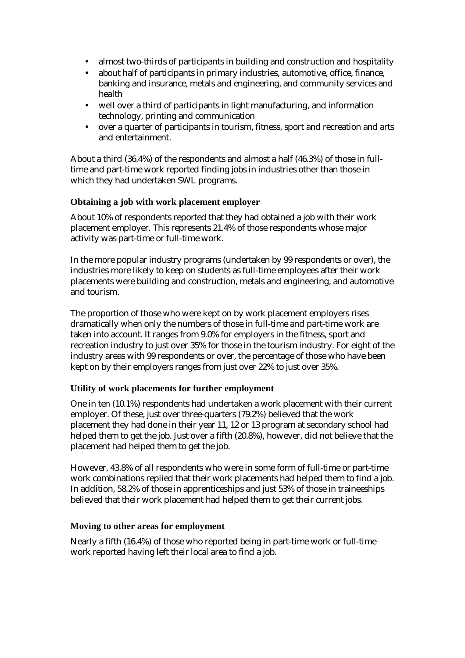- almost two-thirds of participants in building and construction and hospitality
- about half of participants in primary industries, automotive, office, finance, banking and insurance, metals and engineering, and community services and health
- well over a third of participants in light manufacturing, and information technology, printing and communication
- over a quarter of participants in tourism, fitness, sport and recreation and arts and entertainment.

About a third (36.4%) of the respondents and almost a half (46.3%) of those in fulltime and part-time work reported finding jobs in industries other than those in which they had undertaken SWL programs.

#### **Obtaining a job with work placement employer**

About 10% of respondents reported that they had obtained a job with their work placement employer. This represents 21.4% of those respondents whose major activity was part-time or full-time work.

In the more popular industry programs (undertaken by 99 respondents or over), the industries more likely to keep on students as full-time employees after their work placements were building and construction, metals and engineering, and automotive and tourism.

The proportion of those who were kept on by work placement employers rises dramatically when only the numbers of those in full-time and part-time work are taken into account. It ranges from 9.0% for employers in the fitness, sport and recreation industry to just over 35% for those in the tourism industry. For eight of the industry areas with 99 respondents or over, the percentage of those who have been kept on by their employers ranges from just over 22% to just over 35%.

#### **Utility of work placements for further employment**

One in ten (10.1%) respondents had undertaken a work placement with their current employer. Of these, just over three-quarters (79.2%) believed that the work placement they had done in their year 11, 12 or 13 program at secondary school had helped them to get the job. Just over a fifth (20.8%), however, did not believe that the placement had helped them to get the job.

However, 43.8% of all respondents who were in some form of full-time or part-time work combinations replied that their work placements had helped them to find a job. In addition, 58.2% of those in apprenticeships and just 53% of those in traineeships believed that their work placement had helped them to get their current jobs.

#### **Moving to other areas for employment**

Nearly a fifth (16.4%) of those who reported being in part-time work or full-time work reported having left their local area to find a job.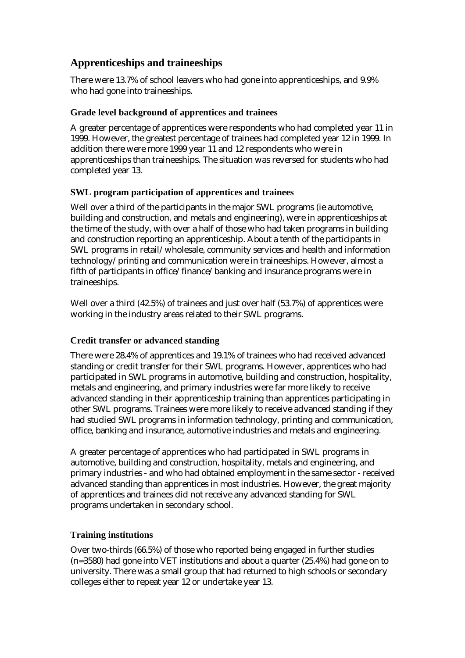# **Apprenticeships and traineeships**

There were 13.7% of school leavers who had gone into apprenticeships, and 9.9% who had gone into traineeships.

### **Grade level background of apprentices and trainees**

A greater percentage of apprentices were respondents who had completed year 11 in 1999. However, the greatest percentage of trainees had completed year 12 in 1999. In addition there were more 1999 year 11 and 12 respondents who were in apprenticeships than traineeships. The situation was reversed for students who had completed year 13.

# **SWL program participation of apprentices and trainees**

Well over a third of the participants in the major SWL programs (ie automotive, building and construction, and metals and engineering), were in apprenticeships at the time of the study, with over a half of those who had taken programs in building and construction reporting an apprenticeship. About a tenth of the participants in SWL programs in retail/wholesale, community services and health and information technology/printing and communication were in traineeships. However, almost a fifth of participants in office/finance/banking and insurance programs were in traineeships.

Well over a third (42.5%) of trainees and just over half (53.7%) of apprentices were working in the industry areas related to their SWL programs.

#### **Credit transfer or advanced standing**

There were 28.4% of apprentices and 19.1% of trainees who had received advanced standing or credit transfer for their SWL programs. However, apprentices who had participated in SWL programs in automotive, building and construction, hospitality, metals and engineering, and primary industries were far more likely to receive advanced standing in their apprenticeship training than apprentices participating in other SWL programs. Trainees were more likely to receive advanced standing if they had studied SWL programs in information technology, printing and communication, office, banking and insurance, automotive industries and metals and engineering.

A greater percentage of apprentices who had participated in SWL programs in automotive, building and construction, hospitality, metals and engineering, and primary industries - and who had obtained employment in the same sector - received advanced standing than apprentices in most industries. However, the great majority of apprentices and trainees did not receive any advanced standing for SWL programs undertaken in secondary school.

# **Training institutions**

Over two-thirds (66.5%) of those who reported being engaged in further studies (n=3580) had gone into VET institutions and about a quarter (25.4%) had gone on to university. There was a small group that had returned to high schools or secondary colleges either to repeat year 12 or undertake year 13.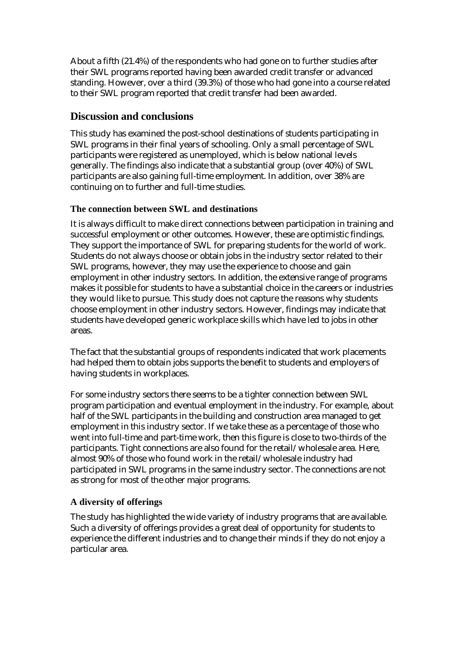About a fifth (21.4%) of the respondents who had gone on to further studies after their SWL programs reported having been awarded credit transfer or advanced standing. However, over a third (39.3%) of those who had gone into a course related to their SWL program reported that credit transfer had been awarded.

# **Discussion and conclusions**

This study has examined the post-school destinations of students participating in SWL programs in their final years of schooling. Only a small percentage of SWL participants were registered as unemployed, which is below national levels generally. The findings also indicate that a substantial group (over 40%) of SWL participants are also gaining full-time employment. In addition, over 38% are continuing on to further and full-time studies.

### **The connection between SWL and destinations**

It is always difficult to make direct connections between participation in training and successful employment or other outcomes. However, these are optimistic findings. They support the importance of SWL for preparing students for the world of work. Students do not always choose or obtain jobs in the industry sector related to their SWL programs, however, they may use the experience to choose and gain employment in other industry sectors. In addition, the extensive range of programs makes it possible for students to have a substantial choice in the careers or industries they would like to pursue. This study does not capture the reasons why students choose employment in other industry sectors. However, findings may indicate that students have developed generic workplace skills which have led to jobs in other areas.

The fact that the substantial groups of respondents indicated that work placements had helped them to obtain jobs supports the benefit to students and employers of having students in workplaces.

For some industry sectors there seems to be a tighter connection between SWL program participation and eventual employment in the industry. For example, about half of the SWL participants in the building and construction area managed to get employment in this industry sector. If we take these as a percentage of those who went into full-time and part-time work, then this figure is close to two-thirds of the participants. Tight connections are also found for the retail/wholesale area. Here, almost 90% of those who found work in the retail/wholesale industry had participated in SWL programs in the same industry sector. The connections are not as strong for most of the other major programs.

# **A diversity of offerings**

The study has highlighted the wide variety of industry programs that are available. Such a diversity of offerings provides a great deal of opportunity for students to experience the different industries and to change their minds if they do not enjoy a particular area.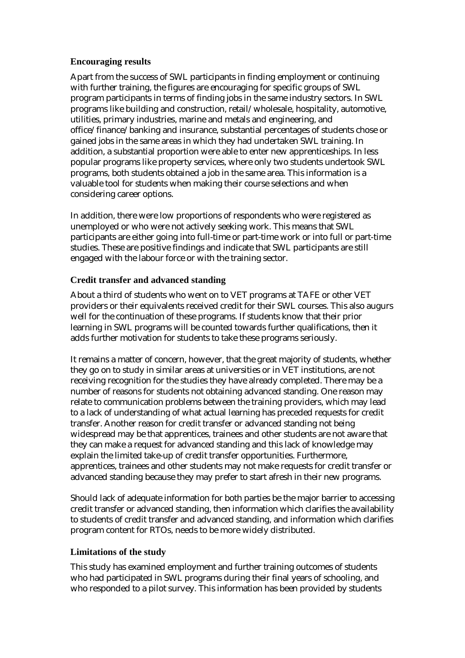#### **Encouraging results**

Apart from the success of SWL participants in finding employment or continuing with further training, the figures are encouraging for specific groups of SWL program participants in terms of finding jobs in the same industry sectors. In SWL programs like building and construction, retail/wholesale, hospitality, automotive, utilities, primary industries, marine and metals and engineering, and office/finance/banking and insurance, substantial percentages of students chose or gained jobs in the same areas in which they had undertaken SWL training. In addition, a substantial proportion were able to enter new apprenticeships. In less popular programs like property services, where only two students undertook SWL programs, both students obtained a job in the same area. This information is a valuable tool for students when making their course selections and when considering career options.

In addition, there were low proportions of respondents who were registered as unemployed or who were not actively seeking work. This means that SWL participants are either going into full-time or part-time work or into full or part-time studies. These are positive findings and indicate that SWL participants are still engaged with the labour force or with the training sector.

#### **Credit transfer and advanced standing**

About a third of students who went on to VET programs at TAFE or other VET providers or their equivalents received credit for their SWL courses. This also augurs well for the continuation of these programs. If students know that their prior learning in SWL programs will be counted towards further qualifications, then it adds further motivation for students to take these programs seriously.

It remains a matter of concern, however, that the great majority of students, whether they go on to study in similar areas at universities or in VET institutions, are not receiving recognition for the studies they have already completed. There may be a number of reasons for students not obtaining advanced standing. One reason may relate to communication problems between the training providers, which may lead to a lack of understanding of what actual learning has preceded requests for credit transfer. Another reason for credit transfer or advanced standing not being widespread may be that apprentices, trainees and other students are not aware that they can make a request for advanced standing and this lack of knowledge may explain the limited take-up of credit transfer opportunities. Furthermore, apprentices, trainees and other students may not make requests for credit transfer or advanced standing because they may prefer to start afresh in their new programs.

Should lack of adequate information for both parties be the major barrier to accessing credit transfer or advanced standing, then information which clarifies the availability to students of credit transfer and advanced standing, and information which clarifies program content for RTOs, needs to be more widely distributed.

#### **Limitations of the study**

This study has examined employment and further training outcomes of students who had participated in SWL programs during their final years of schooling, and who responded to a pilot survey. This information has been provided by students